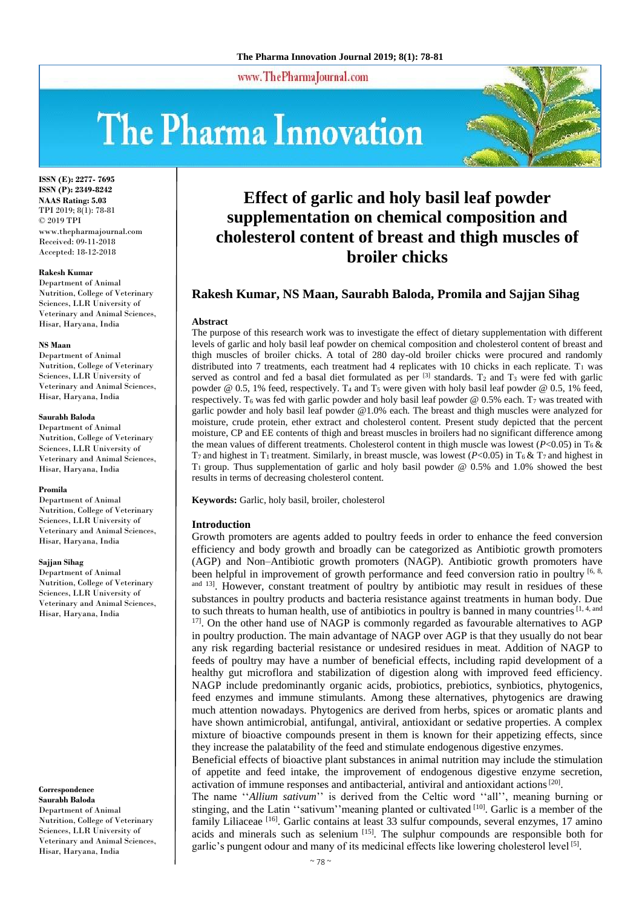www.ThePharmaJournal.com

# The Pharma Innovation



**ISSN (E): 2277- 7695 ISSN (P): 2349-8242 NAAS Rating: 5.03** TPI 2019; 8(1): 78-81 © 2019 TPI www.thepharmajournal.com Received: 09-11-2018 Accepted: 18-12-2018

#### **Rakesh Kumar**

Department of Animal Nutrition, College of Veterinary Sciences, LLR University of Veterinary and Animal Sciences, Hisar, Haryana, India

#### **NS Maan**

Department of Animal Nutrition, College of Veterinary Sciences, LLR University of Veterinary and Animal Sciences, Hisar, Haryana, India

## **Saurabh Baloda**

Department of Animal Nutrition, College of Veterinary Sciences, LLR University of Veterinary and Animal Sciences, Hisar, Haryana, India

#### **Promila**

Department of Animal Nutrition, College of Veterinary Sciences, LLR University of Veterinary and Animal Sciences, Hisar, Haryana, India

#### **Sajjan Sihag**

Department of Animal Nutrition, College of Veterinary Sciences, LLR University of Veterinary and Animal Sciences, Hisar, Haryana, India

#### **Correspondence Saurabh Baloda**

Department of Animal Nutrition, College of Veterinary Sciences, LLR University of Veterinary and Animal Sciences, Hisar, Haryana, India

# **Effect of garlic and holy basil leaf powder supplementation on chemical composition and cholesterol content of breast and thigh muscles of broiler chicks**

# **Rakesh Kumar, NS Maan, Saurabh Baloda, Promila and Sajjan Sihag**

#### **Abstract**

The purpose of this research work was to investigate the effect of dietary supplementation with different levels of garlic and holy basil leaf powder on chemical composition and cholesterol content of breast and thigh muscles of broiler chicks. A total of 280 day-old broiler chicks were procured and randomly distributed into 7 treatments, each treatment had 4 replicates with 10 chicks in each replicate.  $T_1$  was served as control and fed a basal diet formulated as per  $^{[3]}$  standards. T<sub>2</sub> and T<sub>3</sub> were fed with garlic powder @ 0.5, 1% feed, respectively. T<sub>4</sub> and T<sub>5</sub> were given with holy basil leaf powder @ 0.5, 1% feed, respectively. T<sub>6</sub> was fed with garlic powder and holy basil leaf powder  $@ 0.5\%$  each. T<sub>7</sub> was treated with garlic powder and holy basil leaf powder @1.0% each. The breast and thigh muscles were analyzed for moisture, crude protein, ether extract and cholesterol content. Present study depicted that the percent moisture, CP and EE contents of thigh and breast muscles in broilers had no significant difference among the mean values of different treatments. Cholesterol content in thigh muscle was lowest ( $P<0.05$ ) in T<sub>6</sub> &  $T_7$  and highest in T<sub>1</sub> treatment. Similarly, in breast muscle, was lowest ( $P < 0.05$ ) in T<sub>6</sub> & T<sub>7</sub> and highest in  $T_1$  group. Thus supplementation of garlic and holy basil powder @ 0.5% and 1.0% showed the best results in terms of decreasing cholesterol content.

**Keywords:** Garlic, holy basil, broiler, cholesterol

### **Introduction**

Growth promoters are agents added to poultry feeds in order to enhance the feed conversion efficiency and body growth and broadly can be categorized as Antibiotic growth promoters (AGP) and Non–Antibiotic growth promoters (NAGP). Antibiotic growth promoters have been helpful in improvement of growth performance and feed conversion ratio in poultry [6, 8,  $\alpha$ <sup>and 13</sup>. However, constant treatment of poultry by antibiotic may result in residues of these substances in poultry products and bacteria resistance against treatments in human body. Due to such threats to human health, use of antibiotics in poultry is banned in many countries  $[1, 4,$  and  $17$ . On the other hand use of NAGP is commonly regarded as favourable alternatives to AGP in poultry production. The main advantage of NAGP over AGP is that they usually do not bear any risk regarding bacterial resistance or undesired residues in meat. Addition of NAGP to feeds of poultry may have a number of beneficial effects, including rapid development of a healthy gut microflora and stabilization of digestion along with improved feed efficiency. NAGP include predominantly organic acids, probiotics, prebiotics, synbiotics, phytogenics, feed enzymes and immune stimulants. Among these alternatives, phytogenics are drawing much attention nowadays. Phytogenics are derived from herbs, spices or aromatic plants and have shown antimicrobial, antifungal, antiviral, antioxidant or sedative properties. A complex mixture of bioactive compounds present in them is known for their appetizing effects, since they increase the palatability of the feed and stimulate endogenous digestive enzymes.

Beneficial effects of bioactive plant substances in animal nutrition may include the stimulation of appetite and feed intake, the improvement of endogenous digestive enzyme secretion, activation of immune responses and antibacterial, antiviral and antioxidant actions<sup>[20]</sup>.

The name ''*Allium sativum*'' is derived from the Celtic word ''all'', meaning burning or stinging, and the Latin ''sativum''meaning planted or cultivated [10]. Garlic is a member of the family Liliaceae<sup>[16]</sup>. Garlic contains at least 33 sulfur compounds, several enzymes, 17 amino acids and minerals such as selenium  $[15]$ . The sulphur compounds are responsible both for garlic's pungent odour and many of its medicinal effects like lowering cholesterol level [5].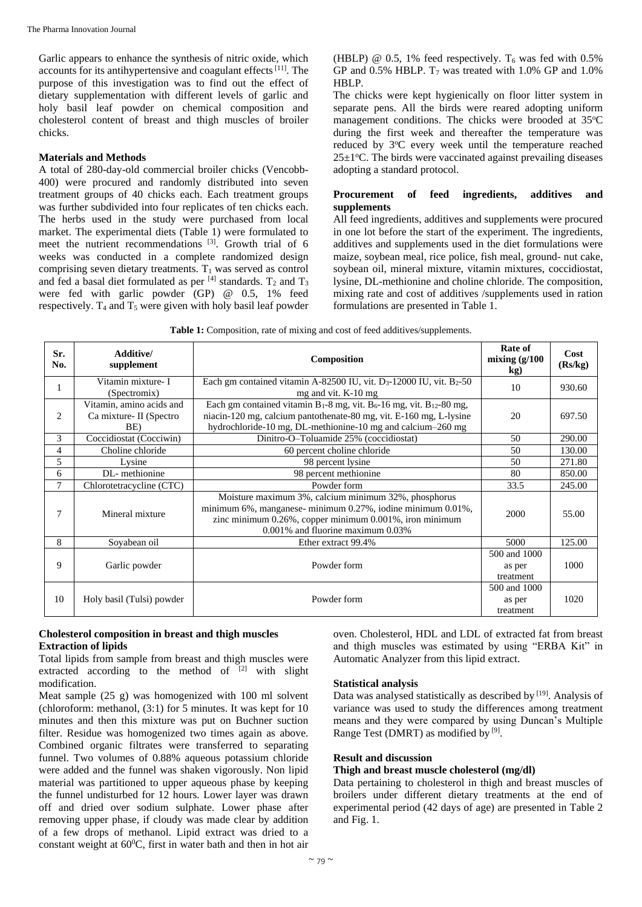Garlic appears to enhance the synthesis of nitric oxide, which accounts for its antihypertensive and coagulant effects $[11]$ . The purpose of this investigation was to find out the effect of dietary supplementation with different levels of garlic and holy basil leaf powder on chemical composition and cholesterol content of breast and thigh muscles of broiler chicks.

# **Materials and Methods**

A total of 280-day-old commercial broiler chicks (Vencobb-400) were procured and randomly distributed into seven treatment groups of 40 chicks each. Each treatment groups was further subdivided into four replicates of ten chicks each. The herbs used in the study were purchased from local market. The experimental diets (Table 1) were formulated to meet the nutrient recommendations [3]. Growth trial of 6 weeks was conducted in a complete randomized design comprising seven dietary treatments.  $T_1$  was served as control and fed a basal diet formulated as per  $^{[4]}$  standards. T<sub>2</sub> and T<sub>3</sub> were fed with garlic powder (GP) @ 0.5, 1% feed respectively.  $T_4$  and  $T_5$  were given with holy basil leaf powder

(HBLP) @ 0.5, 1% feed respectively.  $T_6$  was fed with 0.5% GP and  $0.5\%$  HBLP. T<sub>7</sub> was treated with 1.0% GP and 1.0% HBLP.

The chicks were kept hygienically on floor litter system in separate pens. All the birds were reared adopting uniform management conditions. The chicks were brooded at 35°C during the first week and thereafter the temperature was reduced by  $3^{\circ}$ C every week until the temperature reached  $25\pm1$ <sup>o</sup>C. The birds were vaccinated against prevailing diseases adopting a standard protocol.

# **Procurement of feed ingredients, additives and supplements**

All feed ingredients, additives and supplements were procured in one lot before the start of the experiment. The ingredients, additives and supplements used in the diet formulations were maize, soybean meal, rice police, fish meal, ground- nut cake, soybean oil, mineral mixture, vitamin mixtures, coccidiostat, lysine, DL-methionine and choline chloride. The composition, mixing rate and cost of additives /supplements used in ration formulations are presented in Table 1.

**Table 1:** Composition, rate of mixing and cost of feed additives/supplements.

| Sr.<br>No. | Additive/<br>supplement                                                                                                                                                                                                                | Composition                                                                                                                                                                                                       | Rate of<br>mixing $(g/100)$<br>kg)  | Cost<br>(Rs/kg) |
|------------|----------------------------------------------------------------------------------------------------------------------------------------------------------------------------------------------------------------------------------------|-------------------------------------------------------------------------------------------------------------------------------------------------------------------------------------------------------------------|-------------------------------------|-----------------|
| 1          | Vitamin mixture- I<br>(Spectromix)                                                                                                                                                                                                     | Each gm contained vitamin A-82500 IU, vit. $D_3$ -12000 IU, vit. B <sub>2</sub> -50<br>mg and vit. K-10 mg                                                                                                        | 10                                  | 930.60          |
| 2          | Vitamin, amino acids and<br>Ca mixture - II (Spectro<br>BE)                                                                                                                                                                            | Each gm contained vitamin $B_1-8$ mg, vit. $B_6-16$ mg, vit. $B_{12}-80$ mg,<br>niacin-120 mg, calcium pantothenate-80 mg, vit. E-160 mg, L-lysine<br>hydrochloride-10 mg, DL-methionine-10 mg and calcium-260 mg | 20                                  | 697.50          |
| 3          | Coccidiostat (Cocciwin)                                                                                                                                                                                                                | Dinitro-O-Toluamide 25% (coccidiostat)                                                                                                                                                                            | 50                                  | 290.00          |
| 4          | Choline chloride                                                                                                                                                                                                                       | 60 percent choline chloride                                                                                                                                                                                       | 50                                  | 130.00          |
| 5          | Lysine                                                                                                                                                                                                                                 | 98 percent lysine                                                                                                                                                                                                 | 50                                  | 271.80          |
| 6          | DL-methionine                                                                                                                                                                                                                          | 98 percent methionine                                                                                                                                                                                             | 80                                  | 850.00          |
| 7          | Chlorotetracycline (CTC)                                                                                                                                                                                                               | Powder form                                                                                                                                                                                                       | 33.5                                | 245.00          |
| 7          | Moisture maximum 3%, calcium minimum 32%, phosphorus<br>minimum 6%, manganese- minimum 0.27%, iodine minimum 0.01%,<br>Mineral mixture<br>zinc minimum 0.26%, copper minimum 0.001%, iron minimum<br>0.001% and fluorine maximum 0.03% |                                                                                                                                                                                                                   | 2000                                | 55.00           |
| 8          | Sovabean oil                                                                                                                                                                                                                           | Ether extract 99.4%                                                                                                                                                                                               | 5000                                | 125.00          |
| 9          | Garlic powder                                                                                                                                                                                                                          | Powder form                                                                                                                                                                                                       | 500 and 1000<br>as per<br>treatment | 1000            |
| 10         | Holy basil (Tulsi) powder                                                                                                                                                                                                              | Powder form                                                                                                                                                                                                       | 500 and 1000<br>as per<br>treatment | 1020            |

# **Cholesterol composition in breast and thigh muscles Extraction of lipids**

Total lipids from sample from breast and thigh muscles were extracted according to the method of  $[2]$  with slight modification.

Meat sample (25 g) was homogenized with 100 ml solvent (chloroform: methanol, (3:1) for 5 minutes. It was kept for 10 minutes and then this mixture was put on Buchner suction filter. Residue was homogenized two times again as above. Combined organic filtrates were transferred to separating funnel. Two volumes of 0.88% aqueous potassium chloride were added and the funnel was shaken vigorously. Non lipid material was partitioned to upper aqueous phase by keeping the funnel undisturbed for 12 hours. Lower layer was drawn off and dried over sodium sulphate. Lower phase after removing upper phase, if cloudy was made clear by addition of a few drops of methanol. Lipid extract was dried to a constant weight at 60<sup>0</sup>C, first in water bath and then in hot air

oven. Cholesterol, HDL and LDL of extracted fat from breast and thigh muscles was estimated by using "ERBA Kit" in Automatic Analyzer from this lipid extract.

# **Statistical analysis**

Data was analysed statistically as described by [19]. Analysis of variance was used to study the differences among treatment means and they were compared by using Duncan's Multiple Range Test (DMRT) as modified by [9].

# **Result and discussion**

# **Thigh and breast muscle cholesterol (mg/dl)**

Data pertaining to cholesterol in thigh and breast muscles of broilers under different dietary treatments at the end of experimental period (42 days of age) are presented in Table 2 and Fig. 1.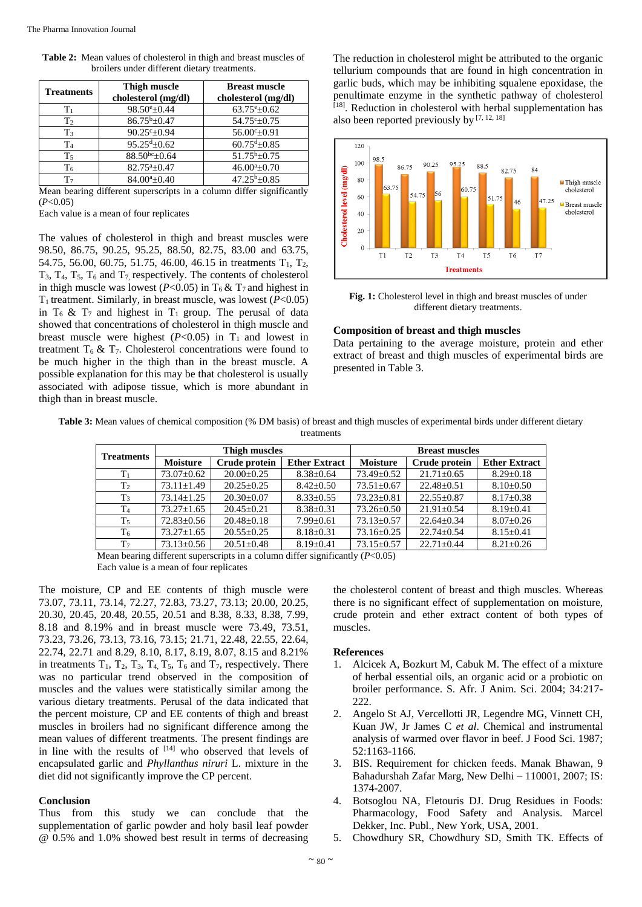| <b>Treatments</b> | <b>Thigh muscle</b><br>cholesterol (mg/dl) | <b>Breast muscle</b><br>cholesterol (mg/dl) |  |
|-------------------|--------------------------------------------|---------------------------------------------|--|
| $\rm T_{1}$       | $98.50^{\circ}$ ±0.44                      | $63.75^{\rm e}{\pm}0.62$                    |  |
| T <sub>2</sub>    | $86.75^b \pm 0.47$                         | $54.75^{\circ}$ ±0.75                       |  |
| T <sub>3</sub>    | $90.25^{\circ}+0.94$                       | $56.00^{\circ}$ ± 0.91                      |  |
| T <sub>4</sub>    | $95.25^{d}+0.62$                           | $60.75^{\text{d}}$ ±0.85                    |  |
| T <sub>5</sub>    | $88.50^{bc} \pm 0.64$                      | $51.75^b \pm 0.75$                          |  |
| T6                | $82.75^a \pm 0.47$                         | $46.00a_{\pm}0.70$                          |  |
| T <sub>7</sub>    | $84.00^a \pm 0.40$                         | $47.25^{b}+0.85$                            |  |

**Table 2:** Mean values of cholesterol in thigh and breast muscles of broilers under different dietary treatments.

Mean bearing different superscripts in a column differ significantly  $(P<0.05)$ 

Each value is a mean of four replicates

The values of cholesterol in thigh and breast muscles were 98.50, 86.75, 90.25, 95.25, 88.50, 82.75, 83.00 and 63.75, 54.75, 56.00, 60.75, 51.75, 46.00, 46.15 in treatments  $T_1$ ,  $T_2$ ,  $T_3$ ,  $T_4$ ,  $T_5$ ,  $T_6$  and  $T_7$  respectively. The contents of cholesterol in thigh muscle was lowest ( $P < 0.05$ ) in T<sub>6</sub> & T<sub>7</sub> and highest in  $T_1$  treatment. Similarly, in breast muscle, was lowest ( $P<0.05$ ) in  $T_6$  &  $T_7$  and highest in  $T_1$  group. The perusal of data showed that concentrations of cholesterol in thigh muscle and breast muscle were highest  $(P<0.05)$  in T<sub>1</sub> and lowest in treatment  $T_6 \& T_7$ . Cholesterol concentrations were found to be much higher in the thigh than in the breast muscle. A possible explanation for this may be that cholesterol is usually associated with adipose tissue, which is more abundant in thigh than in breast muscle.

The reduction in cholesterol might be attributed to the organic tellurium compounds that are found in high concentration in garlic buds, which may be inhibiting squalene epoxidase, the penultimate enzyme in the synthetic pathway of cholesterol <sup>[18]</sup>. Reduction in cholesterol with herbal supplementation has also been reported previously by  $[7, 12, 18]$ 



**Fig. 1:** Cholesterol level in thigh and breast muscles of under different dietary treatments.

#### **Composition of breast and thigh muscles**

Data pertaining to the average moisture, protein and ether extract of breast and thigh muscles of experimental birds are presented in Table 3.

**Table 3:** Mean values of chemical composition (% DM basis) of breast and thigh muscles of experimental birds under different dietary treatments

| <b>Treatments</b> | Thigh muscles    |                | <b>Breast muscles</b> |                  |                |                      |
|-------------------|------------------|----------------|-----------------------|------------------|----------------|----------------------|
|                   | <b>Moisture</b>  | Crude protein  | <b>Ether Extract</b>  | <b>Moisture</b>  | Crude protein  | <b>Ether Extract</b> |
| T <sub>1</sub>    | $73.07 \pm 0.62$ | $20.00+0.25$   | $8.38 \pm 0.64$       | $73.49 \pm 0.52$ | $21.71 + 0.65$ | $8.29 \pm 0.18$      |
| T <sub>2</sub>    | $73.11 \pm 1.49$ | $20.25+0.25$   | $8.42+0.50$           | $73.51 + 0.67$   | $22.48 + 0.51$ | $8.10 \pm 0.50$      |
| T <sub>3</sub>    | $73.14 + 1.25$   | $20.30+0.07$   | $8.33+0.55$           | $73.23 + 0.81$   | $22.55+0.87$   | $8.17 \pm 0.38$      |
| T <sub>4</sub>    | $73.27 + 1.65$   | $20.45+0.21$   | $8.38 \pm 0.31$       | $73.26 \pm 0.50$ | $21.91 + 0.54$ | $8.19 + 0.41$        |
| T <sub>5</sub>    | $72.83 \pm 0.56$ | $20.48 + 0.18$ | $7.99 \pm 0.61$       | $73.13 \pm 0.57$ | $22.64+0.34$   | $8.07 \pm 0.26$      |
| T <sub>6</sub>    | $73.27 \pm 1.65$ | $20.55+0.25$   | $8.18 \pm 0.31$       | $73.16 \pm 0.25$ | $22.74 + 0.54$ | $8.15 \pm 0.41$      |
| T <sub>7</sub>    | $73.13 \pm 0.56$ | $20.51 + 0.48$ | $8.19 + 0.41$         | $73.15 \pm 0.57$ | $22.71 + 0.44$ | $8.21 \pm 0.26$      |

Mean bearing different superscripts in a column differ significantly (*P*<0.05) Each value is a mean of four replicates

The moisture, CP and EE contents of thigh muscle were 73.07, 73.11, 73.14, 72.27, 72.83, 73.27, 73.13; 20.00, 20.25, 20.30, 20.45, 20.48, 20.55, 20.51 and 8.38, 8.33, 8.38, 7.99, 8.18 and 8.19% and in breast muscle were 73.49, 73.51, 73.23, 73.26, 73.13, 73.16, 73.15; 21.71, 22.48, 22.55, 22.64, 22.74, 22.71 and 8.29, 8.10, 8.17, 8.19, 8.07, 8.15 and 8.21% in treatments  $T_1$ ,  $T_2$ ,  $T_3$ ,  $T_4$ ,  $T_5$ ,  $T_6$  and  $T_7$ , respectively. There was no particular trend observed in the composition of muscles and the values were statistically similar among the various dietary treatments. Perusal of the data indicated that the percent moisture, CP and EE contents of thigh and breast muscles in broilers had no significant difference among the mean values of different treatments. The present findings are in line with the results of  $[14]$  who observed that levels of encapsulated garlic and *Phyllanthus niruri* L. mixture in the diet did not significantly improve the CP percent.

#### **Conclusion**

Thus from this study we can conclude that the supplementation of garlic powder and holy basil leaf powder @ 0.5% and 1.0% showed best result in terms of decreasing

the cholesterol content of breast and thigh muscles. Whereas there is no significant effect of supplementation on moisture, crude protein and ether extract content of both types of muscles.

#### **References**

- 1. Alcicek A, Bozkurt M, Cabuk M. The effect of a mixture of herbal essential oils, an organic acid or a probiotic on broiler performance. S. Afr. J Anim. Sci. 2004; 34:217- 222.
- 2. Angelo St AJ, Vercellotti JR, Legendre MG, Vinnett CH, Kuan JW, Jr James C *et al*. Chemical and instrumental analysis of warmed over flavor in beef. J Food Sci. 1987; 52:1163-1166.
- 3. BIS. Requirement for chicken feeds. Manak Bhawan, 9 Bahadurshah Zafar Marg, New Delhi – 110001, 2007; IS: 1374-2007.
- 4. Botsoglou NA, Fletouris DJ. Drug Residues in Foods: Pharmacology, Food Safety and Analysis. Marcel Dekker, Inc. Publ., New York, USA, 2001.
- 5. Chowdhury SR, Chowdhury SD, Smith TK. Effects of